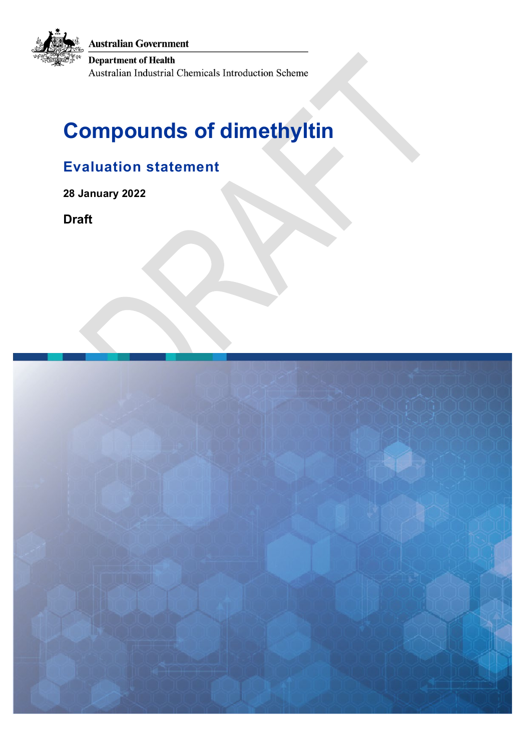**Australian Government** 

**Department of Health** 

Australian Industrial Chemicals Introduction Scheme

# **Compounds of dimethyltin**

# **Evaluation statement**

**28 January 2022** 

**Draft**

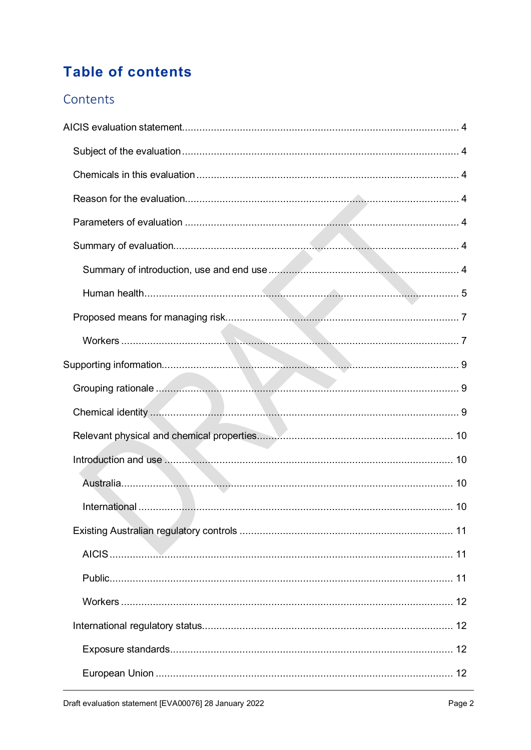# **Table of contents**

### Contents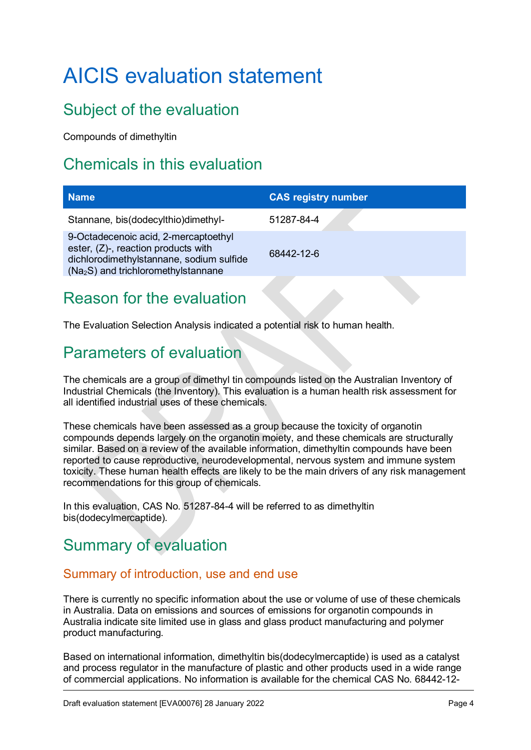# <span id="page-3-0"></span>AICIS evaluation statement

# <span id="page-3-1"></span>Subject of the evaluation

Compounds of dimethyltin

# <span id="page-3-2"></span>Chemicals in this evaluation

| <b>Name</b>                                                                                                                                                     | <b>CAS registry number</b> |
|-----------------------------------------------------------------------------------------------------------------------------------------------------------------|----------------------------|
| Stannane, bis(dodecylthio)dimethyl-                                                                                                                             | 51287-84-4                 |
| 9-Octadecenoic acid, 2-mercaptoethyl<br>ester, (Z)-, reaction products with<br>dichlorodimethylstannane, sodium sulfide<br>$(Na2S)$ and trichloromethylstannane | 68442-12-6                 |
|                                                                                                                                                                 |                            |

### <span id="page-3-3"></span>Reason for the evaluation

The Evaluation Selection Analysis indicated a potential risk to human health.

### <span id="page-3-4"></span>Parameters of evaluation

The chemicals are a group of dimethyl tin compounds listed on the Australian Inventory of Industrial Chemicals (the Inventory). This evaluation is a human health risk assessment for all identified industrial uses of these chemicals.

These chemicals have been assessed as a group because the toxicity of organotin compounds depends largely on the organotin moiety, and these chemicals are structurally similar. Based on a review of the available information, dimethyltin compounds have been reported to cause reproductive, neurodevelopmental, nervous system and immune system toxicity. These human health effects are likely to be the main drivers of any risk management recommendations for this group of chemicals.

In this evaluation, CAS No. 51287-84-4 will be referred to as dimethyltin bis(dodecylmercaptide).

# <span id="page-3-5"></span>Summary of evaluation

### <span id="page-3-6"></span>Summary of introduction, use and end use

There is currently no specific information about the use or volume of use of these chemicals in Australia. Data on emissions and sources of emissions for organotin compounds in Australia indicate site limited use in glass and glass product manufacturing and polymer product manufacturing.

Based on international information, dimethyltin bis(dodecylmercaptide) is used as a catalyst and process regulator in the manufacture of plastic and other products used in a wide range of commercial applications. No information is available for the chemical CAS No. 68442-12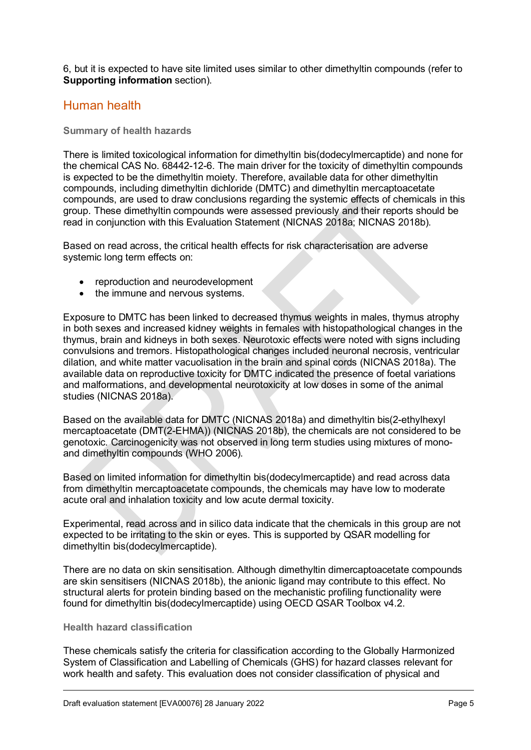6, but it is expected to have site limited uses similar to other dimethyltin compounds (refer to **Supporting information** section).

### <span id="page-4-0"></span>Human health

#### **Summary of health hazards**

There is limited toxicological information for dimethyltin bis(dodecylmercaptide) and none for the chemical CAS No. 68442-12-6. The main driver for the toxicity of dimethyltin compounds is expected to be the dimethyltin moiety. Therefore, available data for other dimethyltin compounds, including dimethyltin dichloride (DMTC) and dimethyltin mercaptoacetate compounds, are used to draw conclusions regarding the systemic effects of chemicals in this group. These dimethyltin compounds were assessed previously and their reports should be read in conjunction with this Evaluation Statement (NICNAS 2018a; NICNAS 2018b).

Based on read across, the critical health effects for risk characterisation are adverse systemic long term effects on:

- reproduction and neurodevelopment
- the immune and nervous systems.

Exposure to DMTC has been linked to decreased thymus weights in males, thymus atrophy in both sexes and increased kidney weights in females with histopathological changes in the thymus, brain and kidneys in both sexes. Neurotoxic effects were noted with signs including convulsions and tremors. Histopathological changes included neuronal necrosis, ventricular dilation, and white matter vacuolisation in the brain and spinal cords (NICNAS 2018a). The available data on reproductive toxicity for DMTC indicated the presence of foetal variations and malformations, and developmental neurotoxicity at low doses in some of the animal studies (NICNAS 2018a).

Based on the available data for DMTC (NICNAS 2018a) and dimethyltin bis(2-ethylhexyl mercaptoacetate (DMT(2-EHMA)) (NICNAS 2018b), the chemicals are not considered to be genotoxic. Carcinogenicity was not observed in long term studies using mixtures of monoand dimethyltin compounds (WHO 2006).

Based on limited information for dimethyltin bis(dodecylmercaptide) and read across data from dimethyltin mercaptoacetate compounds, the chemicals may have low to moderate acute oral and inhalation toxicity and low acute dermal toxicity.

Experimental, read across and in silico data indicate that the chemicals in this group are not expected to be irritating to the skin or eyes. This is supported by QSAR modelling for dimethyltin bis(dodecylmercaptide).

There are no data on skin sensitisation. Although dimethyltin dimercaptoacetate compounds are skin sensitisers (NICNAS 2018b), the anionic ligand may contribute to this effect. No structural alerts for protein binding based on the mechanistic profiling functionality were found for dimethyltin bis(dodecylmercaptide) using OECD QSAR Toolbox v4.2.

#### **Health hazard classification**

These chemicals satisfy the criteria for classification according to the Globally Harmonized System of Classification and Labelling of Chemicals (GHS) for hazard classes relevant for work health and safety. This evaluation does not consider classification of physical and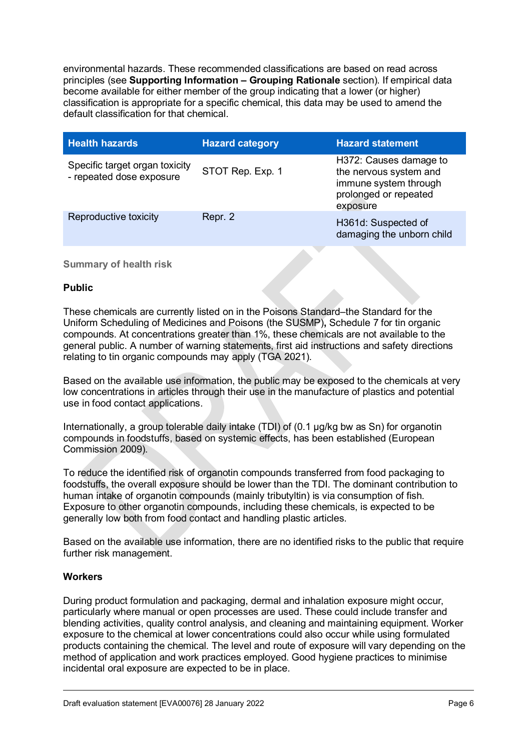environmental hazards. These recommended classifications are based on read across principles (see **Supporting Information – Grouping Rationale** section). If empirical data become available for either member of the group indicating that a lower (or higher) classification is appropriate for a specific chemical, this data may be used to amend the default classification for that chemical.

| <b>Health hazards</b>                                      | <b>Hazard category</b> | <b>Hazard statement</b>                                                                                        |
|------------------------------------------------------------|------------------------|----------------------------------------------------------------------------------------------------------------|
| Specific target organ toxicity<br>- repeated dose exposure | STOT Rep. Exp. 1       | H372: Causes damage to<br>the nervous system and<br>immune system through<br>prolonged or repeated<br>exposure |
| Reproductive toxicity                                      | Repr. 2                | H361d: Suspected of<br>damaging the unborn child                                                               |

#### **Summary of health risk**

#### **Public**

These chemicals are currently listed on in the Poisons Standard–the Standard for the Uniform Scheduling of Medicines and Poisons (the SUSMP)**,** Schedule 7 for tin organic compounds. At concentrations greater than 1%, these chemicals are not available to the general public. A number of warning statements, first aid instructions and safety directions relating to tin organic compounds may apply (TGA 2021).

Based on the available use information, the public may be exposed to the chemicals at very low concentrations in articles through their use in the manufacture of plastics and potential use in food contact applications.

Internationally, a group tolerable daily intake (TDI) of (0.1 µg/kg bw as Sn) for organotin compounds in foodstuffs, based on systemic effects, has been established (European Commission 2009).

To reduce the identified risk of organotin compounds transferred from food packaging to foodstuffs, the overall exposure should be lower than the TDI. The dominant contribution to human intake of organotin compounds (mainly tributyltin) is via consumption of fish. Exposure to other organotin compounds, including these chemicals, is expected to be generally low both from food contact and handling plastic articles.

Based on the available use information, there are no identified risks to the public that require further risk management.

#### **Workers**

During product formulation and packaging, dermal and inhalation exposure might occur, particularly where manual or open processes are used. These could include transfer and blending activities, quality control analysis, and cleaning and maintaining equipment. Worker exposure to the chemical at lower concentrations could also occur while using formulated products containing the chemical. The level and route of exposure will vary depending on the method of application and work practices employed. Good hygiene practices to minimise incidental oral exposure are expected to be in place.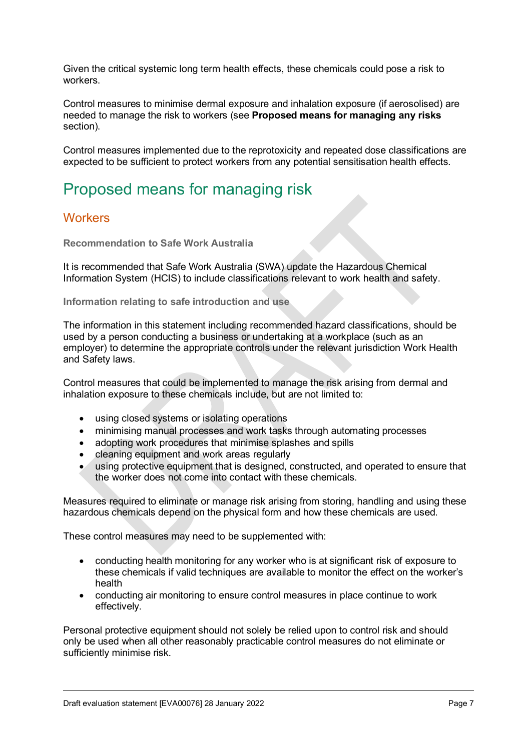Given the critical systemic long term health effects, these chemicals could pose a risk to workers.

Control measures to minimise dermal exposure and inhalation exposure (if aerosolised) are needed to manage the risk to workers (see **Proposed means for managing any risks** section).

Control measures implemented due to the reprotoxicity and repeated dose classifications are expected to be sufficient to protect workers from any potential sensitisation health effects.

### <span id="page-6-0"></span>Proposed means for managing risk

#### <span id="page-6-1"></span>**Workers**

**Recommendation to Safe Work Australia**

It is recommended that Safe Work Australia (SWA) update the Hazardous Chemical Information System (HCIS) to include classifications relevant to work health and safety.

**Information relating to safe introduction and use** 

The information in this statement including recommended hazard classifications, should be used by a person conducting a business or undertaking at a workplace (such as an employer) to determine the appropriate controls under the relevant jurisdiction Work Health and Safety laws.

Control measures that could be implemented to manage the risk arising from dermal and inhalation exposure to these chemicals include, but are not limited to:

- using closed systems or isolating operations
- minimising manual processes and work tasks through automating processes
- adopting work procedures that minimise splashes and spills
- cleaning equipment and work areas regularly
- using protective equipment that is designed, constructed, and operated to ensure that the worker does not come into contact with these chemicals.

Measures required to eliminate or manage risk arising from storing, handling and using these hazardous chemicals depend on the physical form and how these chemicals are used.

These control measures may need to be supplemented with:

- conducting health monitoring for any worker who is at significant risk of exposure to these chemicals if valid techniques are available to monitor the effect on the worker's health
- conducting air monitoring to ensure control measures in place continue to work effectively.

Personal protective equipment should not solely be relied upon to control risk and should only be used when all other reasonably practicable control measures do not eliminate or sufficiently minimise risk.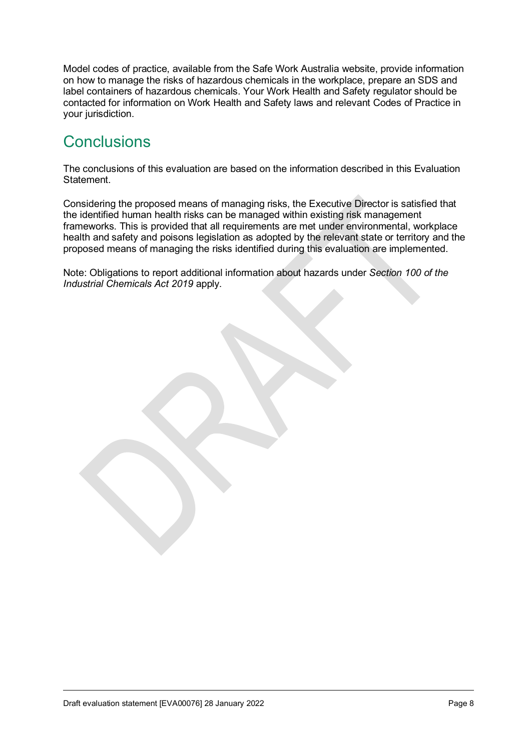Model codes of practice, available from the Safe Work Australia website, provide information on how to manage the risks of hazardous chemicals in the workplace, prepare an SDS and label containers of hazardous chemicals. Your Work Health and Safety regulator should be contacted for information on Work Health and Safety laws and relevant Codes of Practice in your jurisdiction.

## **Conclusions**

The conclusions of this evaluation are based on the information described in this Evaluation Statement.

Considering the proposed means of managing risks, the Executive Director is satisfied that the identified human health risks can be managed within existing risk management frameworks. This is provided that all requirements are met under environmental, workplace health and safety and poisons legislation as adopted by the relevant state or territory and the proposed means of managing the risks identified during this evaluation are implemented.

Note: Obligations to report additional information about hazards under *Section 100 of the Industrial Chemicals Act 2019* apply.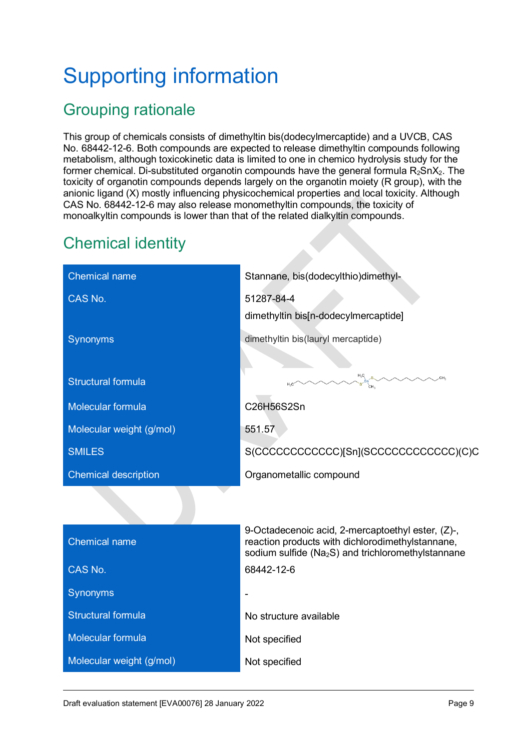# <span id="page-8-0"></span>Supporting information

# <span id="page-8-1"></span>Grouping rationale

This group of chemicals consists of dimethyltin bis(dodecylmercaptide) and a UVCB, CAS No. 68442-12-6. Both compounds are expected to release dimethyltin compounds following metabolism, although toxicokinetic data is limited to one in chemico hydrolysis study for the former chemical. Di-substituted organotin compounds have the general formula  $R_2SnX_2$ . The toxicity of organotin compounds depends largely on the organotin moiety (R group), with the anionic ligand (X) mostly influencing physicochemical properties and local toxicity. Although CAS No. 68442-12-6 may also release monomethyltin compounds, the toxicity of monoalkyltin compounds is lower than that of the related dialkyltin compounds.

# <span id="page-8-2"></span>Chemical identity

| <b>Chemical name</b>        | Stannane, bis(dodecylthio)dimethyl-                                                                                                                                     |
|-----------------------------|-------------------------------------------------------------------------------------------------------------------------------------------------------------------------|
| CAS No.                     | 51287-84-4                                                                                                                                                              |
|                             | dimethyltin bis[n-dodecylmercaptide]                                                                                                                                    |
| <b>Synonyms</b>             | dimethyltin bis(lauryl mercaptide)                                                                                                                                      |
|                             |                                                                                                                                                                         |
| <b>Structural formula</b>   | $H_3C$<br>Sn $SH_3$                                                                                                                                                     |
| <b>Molecular formula</b>    | C26H56S2Sn                                                                                                                                                              |
| Molecular weight (g/mol)    | 551.57                                                                                                                                                                  |
| <b>SMILES</b>               | S(CCCCCCCCCCCC)[Sn](SCCCCCCCCCCCCC)(C)C                                                                                                                                 |
| <b>Chemical description</b> | Organometallic compound                                                                                                                                                 |
|                             |                                                                                                                                                                         |
| <b>Chemical name</b>        | 9-Octadecenoic acid, 2-mercaptoethyl ester, (Z)-,<br>reaction products with dichlorodimethylstannane,<br>sodium sulfide (Na <sub>2</sub> S) and trichloromethylstannane |
| CAS No.                     | 68442-12-6                                                                                                                                                              |
| Synonyms                    |                                                                                                                                                                         |
| <b>Structural formula</b>   | No structure available                                                                                                                                                  |
| <b>Molecular formula</b>    | Not specified                                                                                                                                                           |
| Molecular weight (g/mol)    | Not specified                                                                                                                                                           |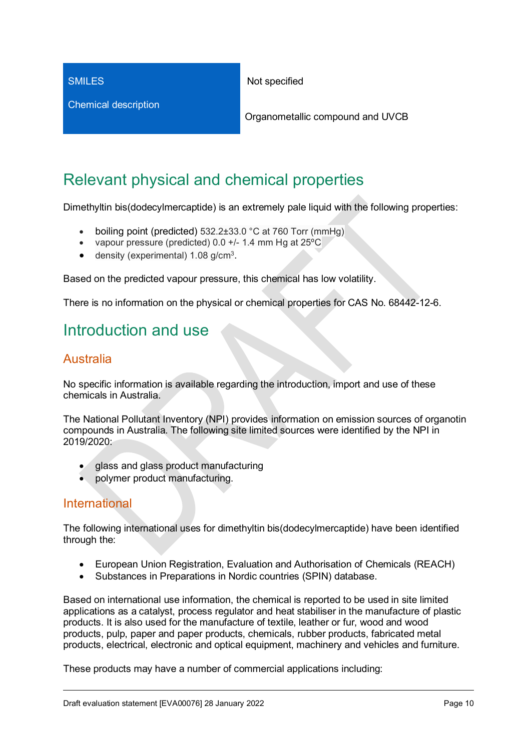**SMILES** 

Chemical description

Not specified

Organometallic compound and UVCB

# <span id="page-9-0"></span>Relevant physical and chemical properties

Dimethyltin bis(dodecylmercaptide) is an extremely pale liquid with the following properties:

- boiling point (predicted) 532.2±33.0 °C at 760 Torr (mmHg)
- vapour pressure (predicted) 0.0 +/- 1.4 mm Hg at 25ºC
- $\bullet$  density (experimental) 1.08 g/cm<sup>3</sup>.

Based on the predicted vapour pressure, this chemical has low volatility.

There is no information on the physical or chemical properties for CAS No. 68442-12-6.

### <span id="page-9-1"></span>Introduction and use

### <span id="page-9-2"></span>Australia

No specific information is available regarding the introduction, import and use of these chemicals in Australia.

The National Pollutant Inventory (NPI) provides information on emission sources of organotin compounds in Australia. The following site limited sources were identified by the NPI in 2019/2020:

- glass and glass product manufacturing
- polymer product manufacturing.

#### <span id="page-9-3"></span>International

The following international uses for dimethyltin bis(dodecylmercaptide) have been identified through the:

- European Union Registration, Evaluation and Authorisation of Chemicals (REACH)
- Substances in Preparations in Nordic countries (SPIN) database.

Based on international use information, the chemical is reported to be used in site limited applications as a catalyst, process regulator and heat stabiliser in the manufacture of plastic products. It is also used for the manufacture of textile, leather or fur, wood and wood products, pulp, paper and paper products, chemicals, rubber products, fabricated metal products, electrical, electronic and optical equipment, machinery and vehicles and furniture.

These products may have a number of commercial applications including: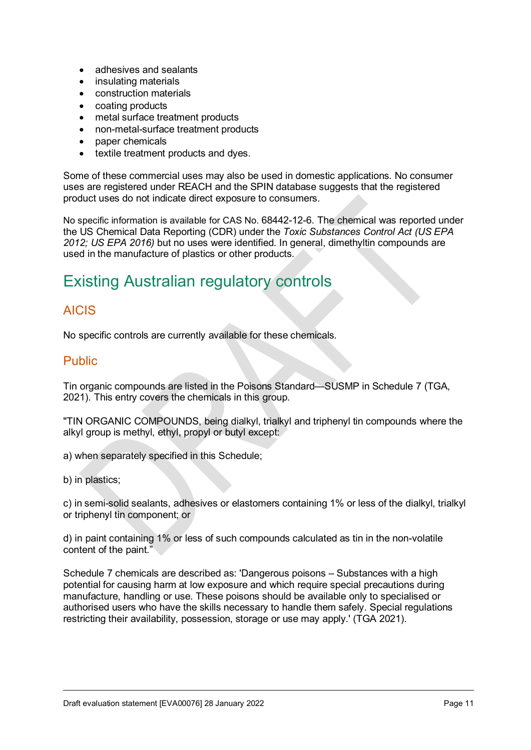- adhesives and sealants
- insulating materials
- construction materials
- coating products
- metal surface treatment products
- non-metal-surface treatment products
- paper chemicals
- textile treatment products and dyes.

Some of these commercial uses may also be used in domestic applications. No consumer uses are registered under REACH and the SPIN database suggests that the registered product uses do not indicate direct exposure to consumers.

No specific information is available for CAS No. 68442-12-6. The chemical was reported under the US Chemical Data Reporting (CDR) under the *Toxic Substances Control Act (US EPA 2012; US EPA 2016)* but no uses were identified. In general, dimethyltin compounds are used in the manufacture of plastics or other products.

## <span id="page-10-0"></span>Existing Australian regulatory controls

### <span id="page-10-1"></span>AICIS

No specific controls are currently available for these chemicals.

#### <span id="page-10-2"></span>Public

Tin organic compounds are listed in the Poisons Standard—SUSMP in Schedule 7 (TGA, 2021). This entry covers the chemicals in this group.

"TIN ORGANIC COMPOUNDS, being dialkyl, trialkyl and triphenyl tin compounds where the alkyl group is methyl, ethyl, propyl or butyl except:

a) when separately specified in this Schedule;

b) in plastics;

c) in semi-solid sealants, adhesives or elastomers containing 1% or less of the dialkyl, trialkyl or triphenyl tin component; or

d) in paint containing 1% or less of such compounds calculated as tin in the non-volatile content of the paint."

Schedule 7 chemicals are described as: 'Dangerous poisons – Substances with a high potential for causing harm at low exposure and which require special precautions during manufacture, handling or use. These poisons should be available only to specialised or authorised users who have the skills necessary to handle them safely. Special regulations restricting their availability, possession, storage or use may apply.' (TGA 2021).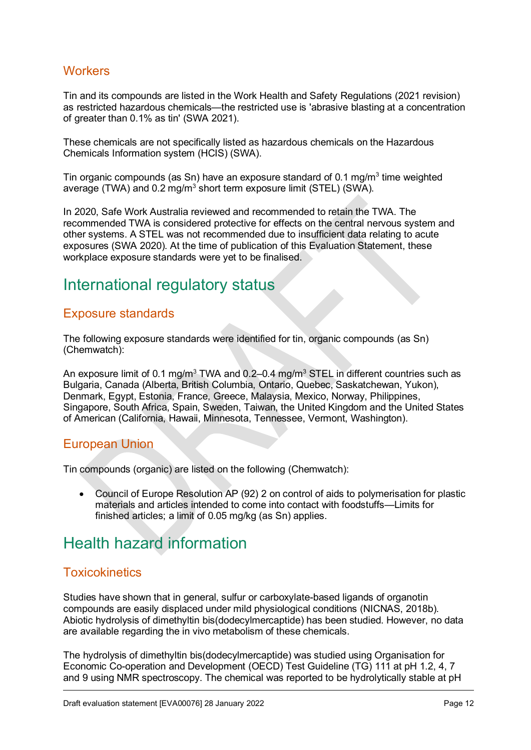### <span id="page-11-0"></span>**Workers**

Tin and its compounds are listed in the Work Health and Safety Regulations (2021 revision) as restricted hazardous chemicals—the restricted use is 'abrasive blasting at a concentration of greater than 0.1% as tin' (SWA 2021).

These chemicals are not specifically listed as hazardous chemicals on the Hazardous Chemicals Information system (HCIS) (SWA).

Tin organic compounds (as Sn) have an exposure standard of 0.1 mg/m<sup>3</sup> time weighted average (TWA) and 0.2 mg/m<sup>3</sup> short term exposure limit (STEL) (SWA).

In 2020, Safe Work Australia reviewed and recommended to retain the TWA. The recommended TWA is considered protective for effects on the central nervous system and other systems. A STEL was not recommended due to insufficient data relating to acute exposures (SWA 2020). At the time of publication of this Evaluation Statement, these workplace exposure standards were yet to be finalised.

### <span id="page-11-1"></span>International regulatory status

#### <span id="page-11-2"></span>Exposure standards

The following exposure standards were identified for tin, organic compounds (as Sn) (Chemwatch):

An exposure limit of 0.1 mg/m<sup>3</sup> TWA and 0.2–0.4 mg/m<sup>3</sup> STEL in different countries such as Bulgaria, Canada (Alberta, British Columbia, Ontario, Quebec, Saskatchewan, Yukon), Denmark, Egypt, Estonia, France, Greece, Malaysia, Mexico, Norway, Philippines, Singapore, South Africa, Spain, Sweden, Taiwan, the United Kingdom and the United States of American (California, Hawaii, Minnesota, Tennessee, Vermont, Washington).

#### <span id="page-11-3"></span>European Union

Tin compounds (organic) are listed on the following (Chemwatch):

• Council of Europe Resolution AP (92) 2 on control of aids to polymerisation for plastic materials and articles intended to come into contact with foodstuffs—Limits for finished articles; a limit of 0.05 mg/kg (as Sn) applies.

### <span id="page-11-4"></span>Health hazard information

### <span id="page-11-5"></span>**Toxicokinetics**

Studies have shown that in general, sulfur or carboxylate-based ligands of organotin compounds are easily displaced under mild physiological conditions (NICNAS, 2018b). Abiotic hydrolysis of dimethyltin bis(dodecylmercaptide) has been studied. However, no data are available regarding the in vivo metabolism of these chemicals.

The hydrolysis of dimethyltin bis(dodecylmercaptide) was studied using Organisation for Economic Co-operation and Development (OECD) Test Guideline (TG) 111 at pH 1.2, 4, 7 and 9 using NMR spectroscopy. The chemical was reported to be hydrolytically stable at pH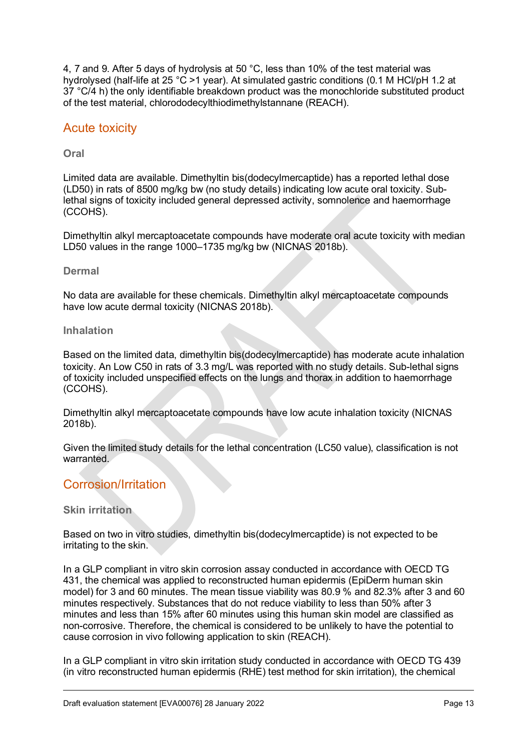4, 7 and 9. After 5 days of hydrolysis at 50 °C, less than 10% of the test material was hydrolysed (half-life at 25 °C >1 year). At simulated gastric conditions (0.1 M HCl/pH 1.2 at 37 °C/4 h) the only identifiable breakdown product was the monochloride substituted product of the test material, chlorododecylthiodimethylstannane (REACH).

#### <span id="page-12-0"></span>Acute toxicity

**Oral**

Limited data are available. Dimethyltin bis(dodecylmercaptide) has a reported lethal dose (LD50) in rats of 8500 mg/kg bw (no study details) indicating low acute oral toxicity. Sublethal signs of toxicity included general depressed activity, somnolence and haemorrhage (CCOHS).

Dimethyltin alkyl mercaptoacetate compounds have moderate oral acute toxicity with median LD50 values in the range 1000–1735 mg/kg bw (NICNAS 2018b).

#### **Dermal**

No data are available for these chemicals. Dimethyltin alkyl mercaptoacetate compounds have low acute dermal toxicity (NICNAS 2018b).

#### **Inhalation**

Based on the limited data, dimethyltin bis(dodecylmercaptide) has moderate acute inhalation toxicity. An Low C50 in rats of 3.3 mg/L was reported with no study details. Sub-lethal signs of toxicity included unspecified effects on the lungs and thorax in addition to haemorrhage (CCOHS).

Dimethyltin alkyl mercaptoacetate compounds have low acute inhalation toxicity (NICNAS 2018b).

Given the limited study details for the lethal concentration (LC50 value), classification is not warranted

#### <span id="page-12-1"></span>Corrosion/Irritation

#### **Skin irritation**

Based on two in vitro studies, dimethyltin bis(dodecylmercaptide) is not expected to be irritating to the skin.

In a GLP compliant in vitro skin corrosion assay conducted in accordance with OECD TG 431, the chemical was applied to reconstructed human epidermis (EpiDerm human skin model) for 3 and 60 minutes. The mean tissue viability was 80.9 % and 82.3% after 3 and 60 minutes respectively. Substances that do not reduce viability to less than 50% after 3 minutes and less than 15% after 60 minutes using this human skin model are classified as non-corrosive. Therefore, the chemical is considered to be unlikely to have the potential to cause corrosion in vivo following application to skin (REACH).

In a GLP compliant in vitro skin irritation study conducted in accordance with OECD TG 439 (in vitro reconstructed human epidermis (RHE) test method for skin irritation), the chemical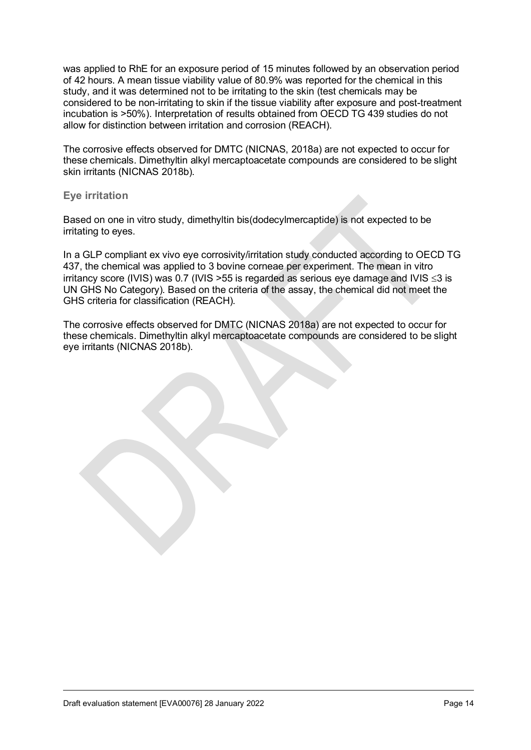was applied to RhE for an exposure period of 15 minutes followed by an observation period of 42 hours. A mean tissue viability value of 80.9% was reported for the chemical in this study, and it was determined not to be irritating to the skin (test chemicals may be considered to be non-irritating to skin if the tissue viability after exposure and post-treatment incubation is >50%). Interpretation of results obtained from OECD TG 439 studies do not allow for distinction between irritation and corrosion (REACH).

The corrosive effects observed for DMTC (NICNAS, 2018a) are not expected to occur for these chemicals. Dimethyltin alkyl mercaptoacetate compounds are considered to be slight skin irritants (NICNAS 2018b).

#### **Eye irritation**

Based on one in vitro study, dimethyltin bis(dodecylmercaptide) is not expected to be irritating to eyes.

In a GLP compliant ex vivo eye corrosivity/irritation study conducted according to OECD TG 437, the chemical was applied to 3 bovine corneae per experiment. The mean in vitro irritancy score (IVIS) was 0.7 (IVIS >55 is regarded as serious eye damage and IVIS ≤3 is UN GHS No Category). Based on the criteria of the assay, the chemical did not meet the GHS criteria for classification (REACH).

The corrosive effects observed for DMTC (NICNAS 2018a) are not expected to occur for these chemicals. Dimethyltin alkyl mercaptoacetate compounds are considered to be slight eye irritants (NICNAS 2018b).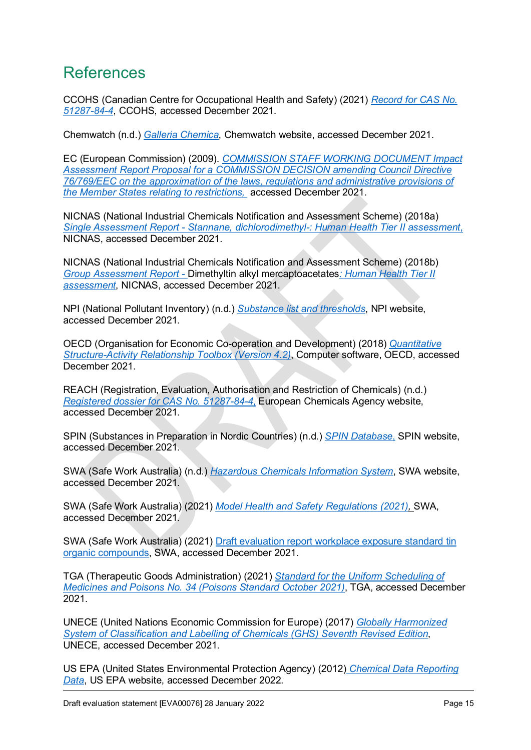### <span id="page-14-0"></span>**References**

CCOHS (Canadian Centre for Occupational Health and Safety) (2021) *[Record for CAS No.](http://ccohsid.ccohs.ca/rtecs/login.html?locale=en)  [51287-84-4](http://ccohsid.ccohs.ca/rtecs/login.html?locale=en)*, CCOHS, accessed December 2021.

Chemwatch (n.d.) *[Galleria Chemica](https://jr.chemwatch.net/galleria/)*, Chemwatch website, accessed December 2021.

EC (European Commission) (2009). *[COMMISSION STAFF WORKING DOCUMENT Impact](https://ec.europa.eu/smart-regulation/impact/ia_carried_out/docs/ia_2009/sec_2009_0705_2_en.pdf)  [Assessment Report Proposal for a COMMISSION DECISION amending Council Directive](https://ec.europa.eu/smart-regulation/impact/ia_carried_out/docs/ia_2009/sec_2009_0705_2_en.pdf)  [76/769/EEC on the approximation of the laws, regulations and administrative provisions of](https://ec.europa.eu/smart-regulation/impact/ia_carried_out/docs/ia_2009/sec_2009_0705_2_en.pdf)  [the Member States relating to restrictions,](https://ec.europa.eu/smart-regulation/impact/ia_carried_out/docs/ia_2009/sec_2009_0705_2_en.pdf)* accessed December 2021.

NICNAS (National Industrial Chemicals Notification and Assessment Scheme) (2018a) *Single Assessment Report - [Stannane, dichlorodimethyl-: Human Health Tier](https://www.industrialchemicals.gov.au/chemical-information/search-assessments#keywords) II assessment*, NICNAS, accessed December 2021.

NICNAS (National Industrial Chemicals Notification and Assessment Scheme) (2018b) *Group Assessment Report -* [Dimethyltin alkyl mercaptoacetates](https://www.industrialchemicals.gov.au/chemical-information/search-assessments#keywords)*: Human Health Tier II [assessment](https://www.industrialchemicals.gov.au/chemical-information/search-assessments#keywords)*, NICNAS, accessed December 2021.

NPI (National Pollutant Inventory) (n.d.) *[Substance list and thresholds](http://www.npi.gov.au/substances/substance-list-and-thresholds)*, NPI website, accessed December 2021.

OECD (Organisation for Economic Co-operation and Development) (2018) *[Quantitative](https://www.oecd.org/chemicalsafety/risk-assessment/oecd-qsar-toolbox.htm)  [Structure-Activity Relationship Toolbox \(Version 4.2\)](https://www.oecd.org/chemicalsafety/risk-assessment/oecd-qsar-toolbox.htm)*, Computer software, OECD, accessed December 2021.

REACH (Registration, Evaluation, Authorisation and Restriction of Chemicals) (n.d.) *[Registered dossier for CAS No. 51287-84-4](https://echa.europa.eu/registration-dossier/-/registered-dossier/24852)*, European Chemicals Agency website, accessed December 2021.

SPIN (Substances in Preparation in Nordic Countries) (n.d.) *[SPIN Database](http://www.spin2000.net/spinmyphp/)*, SPIN website, accessed December 2021.

SWA (Safe Work Australia) (n.d.) *[Hazardous Chemicals Information System](http://hcis.safeworkaustralia.gov.au/)*, SWA website, accessed December 2021.

SWA (Safe Work Australia) (2021) *[Model Health and Safety Regulations \(2021\),](https://www.safeworkaustralia.gov.au/sites/default/files/2021-11/Model-WHS-Regulations-1January2021.pdf)* SWA, accessed December 2021.

SWA (Safe Work Australia) (2021) Draft evaluation report [workplace exposure standard tin](https://engage.swa.gov.au/wes-review-release-15) organic [compounds,](https://engage.swa.gov.au/wes-review-release-15) SWA, accessed December 2021.

TGA (Therapeutic Goods Administration) (2021) *[Standard for the Uniform Scheduling of](https://www.tga.gov.au/publication/poisons-standard-susmp)  Medicines and Poisons [No. 34 \(Poisons Standard October 2021\)](https://www.tga.gov.au/publication/poisons-standard-susmp)*, TGA, accessed December 2021.

UNECE (United Nations Economic Commission for Europe) (2017) *[Globally Harmonized](https://unece.org/ghs-rev7-2017)  [System of Classification and Labelling of Chemicals \(GHS\) Seventh Revised Edition](https://unece.org/ghs-rev7-2017)*, UNECE, accessed December 2021.

US EPA (United States Environmental Protection Agency) (2012) *[Chemical Data Reporting](https://www.epa.gov/chemical-data-reporting/access-cdr-data#2016)  [Data](https://www.epa.gov/chemical-data-reporting/access-cdr-data#2016)*, US EPA website, accessed December 2022.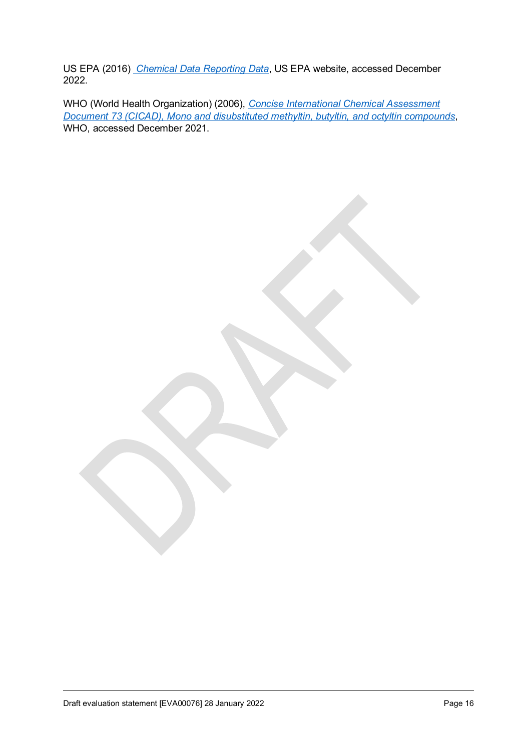US EPA (2016) *[Chemical Data Reporting Data](https://www.epa.gov/chemical-data-reporting/access-cdr-data#2016)*, US EPA website, accessed December 2022.

WHO (World Health Organization) (2006), *[Concise International Chemical Assessment](https://inchem.org/pages/cicads.html)  [Document 73 \(CICAD\), Mono and disubstituted methyltin, butyltin, and octyltin compounds](https://inchem.org/pages/cicads.html)*, WHO, accessed December 2021.